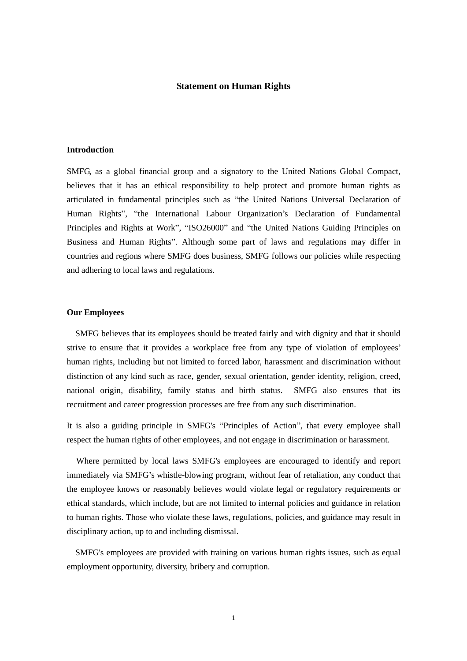### **Statement on Human Rights**

# **Introduction**

SMFG, as a global financial group and a signatory to the United Nations Global Compact, believes that it has an ethical responsibility to help protect and promote human rights as articulated in fundamental principles such as "the United Nations Universal Declaration of Human Rights", "the International Labour Organization's Declaration of Fundamental Principles and Rights at Work", "ISO26000" and "the United Nations Guiding Principles on Business and Human Rights". Although some part of laws and regulations may differ in countries and regions where SMFG does business, SMFG follows our policies while respecting and adhering to local laws and regulations.

### **Our Employees**

SMFG believes that its employees should be treated fairly and with dignity and that it should strive to ensure that it provides a workplace free from any type of violation of employees' human rights, including but not limited to forced labor, harassment and discrimination without distinction of any kind such as race, gender, sexual orientation, gender identity, religion, creed, national origin, disability, family status and birth status. SMFG also ensures that its recruitment and career progression processes are free from any such discrimination.

It is also a guiding principle in SMFG's "Principles of Action", that every employee shall respect the human rights of other employees, and not engage in discrimination or harassment.

Where permitted by local laws SMFG's employees are encouraged to identify and report immediately via SMFG's whistle-blowing program, without fear of retaliation, any conduct that the employee knows or reasonably believes would violate legal or regulatory requirements or ethical standards, which include, but are not limited to internal policies and guidance in relation to human rights. Those who violate these laws, regulations, policies, and guidance may result in disciplinary action, up to and including dismissal.

SMFG's employees are provided with training on various human rights issues, such as equal employment opportunity, diversity, bribery and corruption.